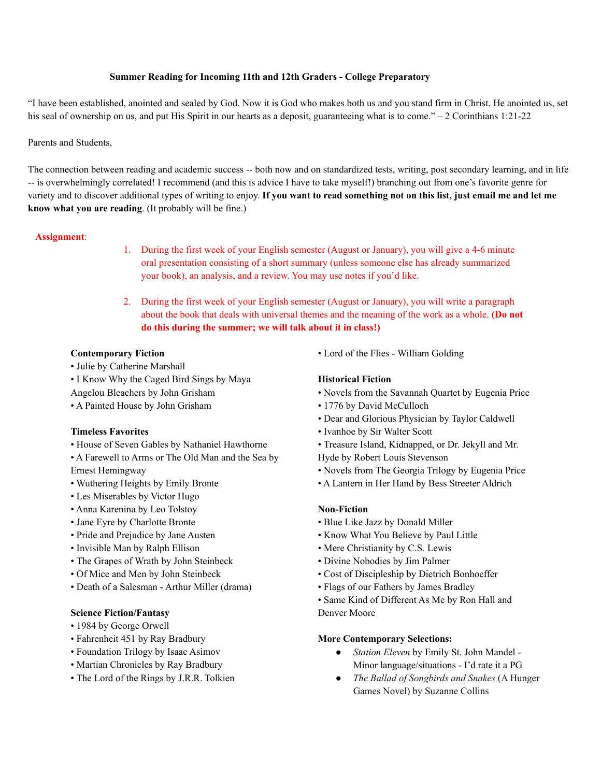### **Summer Reading for Incoming 11th and 12th Graders - College Preparatory**

"I have been established, anointed and sealed by God. Now it is God who makes both us and you stand firm in Christ. He anointed us, set his seal of ownership on us, and put His Spirit in our hearts as a deposit, guaranteeing what is to come." – 2 Corinthians 1:21-22

### Parents and Students,

The connection between reading and academic success -- both now and on standardized tests, writing, post secondary learning, and in life -- is overwhelmingly correlated! I recommend (and this is advice I have to take myself!) branching out from one's favorite genre for variety and to discover additional types of writing to enjoy. If you want to read something not on this list, just email me and let me **know what you are reading**. (It probably will be fine.)

#### **Assignment**:

- 1. During the first week of your English semester (August or January), you will give a 4-6 minute oral presentation consisting of a short summary (unless someone else has already summarized your book), an analysis, and a review. You may use notes if you'd like.
- 2. During the first week of your English semester (August or January), you will write a paragraph about the book that deals with universal themes and the meaning of the work as a whole. **(Do not do this during the summer; we will talk about it in class!)**

# **Contemporary Fiction**

- Julie by Catherine Marshall
- I Know Why the Caged Bird Sings by Maya
- Angelou Bleachers by John Grisham
- A Painted House by John Grisham

#### **Timeless Favorites**

- House of Seven Gables by Nathaniel Hawthorne
- A Farewell to Arms or The Old Man and the Sea by Ernest Hemingway
- Wuthering Heights by Emily Bronte
- Les Miserables by Victor Hugo
- Anna Karenina by Leo Tolstoy
- Jane Eyre by Charlotte Bronte
- Pride and Prejudice by Jane Austen
- Invisible Man by Ralph Ellison
- The Grapes of Wrath by John Steinbeck
- Of Mice and Men by John Steinbeck
- Death of a Salesman Arthur Miller (drama)

#### **Science Fiction/Fantasy**

- 1984 by George Orwell
- Fahrenheit 451 by Ray Bradbury
- Foundation Trilogy by Isaac Asimov
- Martian Chronicles by Ray Bradbury
- The Lord of the Rings by J.R.R. Tolkien

• Lord of the Flies - William Golding

# **Historical Fiction**

- Novels from the Savannah Quartet by Eugenia Price
- 1776 by David McCulloch
- Dear and Glorious Physician by Taylor Caldwell
- Ivanhoe by Sir Walter Scott
- Treasure Island, Kidnapped, or Dr. Jekyll and Mr.
- Hyde by Robert Louis Stevenson
- Novels from The Georgia Trilogy by Eugenia Price
- A Lantern in Her Hand by Bess Streeter Aldrich

#### **Non-Fiction**

- Blue Like Jazz by Donald Miller
- Know What You Believe by Paul Little
- Mere Christianity by C.S. Lewis
- Divine Nobodies by Jim Palmer
- Cost of Discipleship by Dietrich Bonhoeffer
- Flags of our Fathers by James Bradley
- Same Kind of Different As Me by Ron Hall and Denver Moore

#### **More Contemporary Selections:**

- *Station Eleven* by Emily St. John Mandel Minor language/situations - I'd rate it a PG
- *● The Ballad of Songbirds and Snakes* (A Hunger Games Novel) by Suzanne Collins